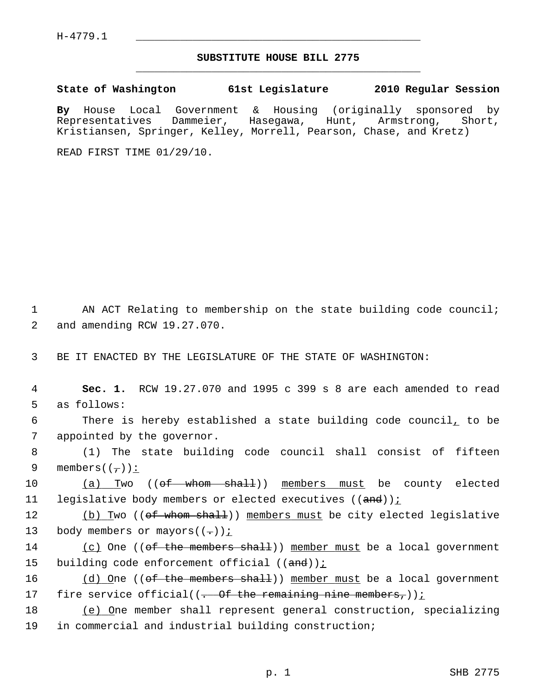## **SUBSTITUTE HOUSE BILL 2775** \_\_\_\_\_\_\_\_\_\_\_\_\_\_\_\_\_\_\_\_\_\_\_\_\_\_\_\_\_\_\_\_\_\_\_\_\_\_\_\_\_\_\_\_\_

**State of Washington 61st Legislature 2010 Regular Session**

**By** House Local Government & Housing (originally sponsored by Representatives Dammeier, Hasegawa, Hunt, Armstrong, Short, Kristiansen, Springer, Kelley, Morrell, Pearson, Chase, and Kretz)

READ FIRST TIME 01/29/10.

1 AN ACT Relating to membership on the state building code council; 2 and amending RCW 19.27.070.

3 BE IT ENACTED BY THE LEGISLATURE OF THE STATE OF WASHINGTON:

 4 **Sec. 1.** RCW 19.27.070 and 1995 c 399 s 8 are each amended to read 5 as follows:

 6 There is hereby established a state building code council, to be 7 appointed by the governor.

 8 (1) The state building code council shall consist of fifteen 9 members( $(\frac{\ }{\ }')$ ):

10 (a) Two ((<del>of whom shall</del>)) members must be county elected 11 legislative body members or elected executives ((and));

12 (b) Two ((<del>of whom shall</del>)) members must be city elected legislative 13 body members or mayors( $(-)$ );

14 (c) One ((of the members shall)) member must be a local government 15 building code enforcement official  $((and))$  *i* 

16 (d) One ((of the members shall)) member must be a local government 17 fire service official( $(-$  Of the remaining nine members,))<u>;</u>

18 (e) One member shall represent general construction, specializing 19 in commercial and industrial building construction;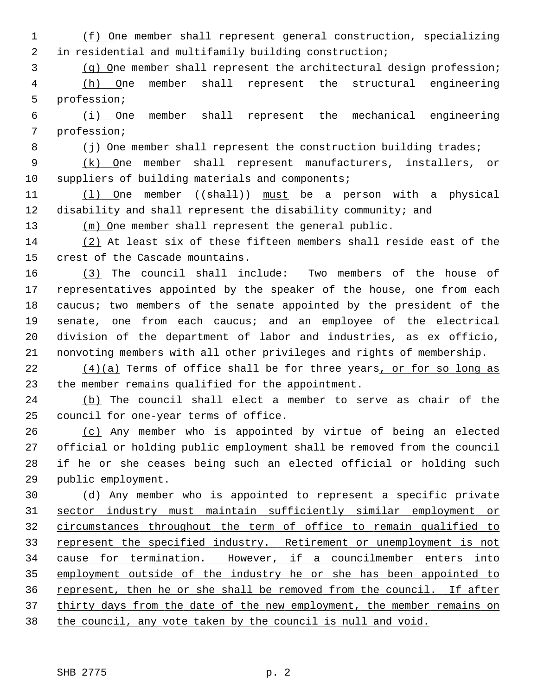1 (f) One member shall represent general construction, specializing 2 in residential and multifamily building construction;

3 (g) One member shall represent the architectural design profession;

 4 (h) One member shall represent the structural engineering 5 profession;

 6 (i) One member shall represent the mechanical engineering 7 profession;

8 (j) One member shall represent the construction building trades;

 9 (k) One member shall represent manufacturers, installers, or 10 suppliers of building materials and components;

11 (1) One member ((shall)) must be a person with a physical 12 disability and shall represent the disability community; and

13 (m) One member shall represent the general public.

14 (2) At least six of these fifteen members shall reside east of the 15 crest of the Cascade mountains.

16 (3) The council shall include: Two members of the house of 17 representatives appointed by the speaker of the house, one from each 18 caucus; two members of the senate appointed by the president of the 19 senate, one from each caucus; and an employee of the electrical 20 division of the department of labor and industries, as ex officio, 21 nonvoting members with all other privileges and rights of membership.

 $22$  (4)(a) Terms of office shall be for three years, or for so long as 23 the member remains qualified for the appointment.

24 (b) The council shall elect a member to serve as chair of the 25 council for one-year terms of office.

26 (c) Any member who is appointed by virtue of being an elected 27 official or holding public employment shall be removed from the council 28 if he or she ceases being such an elected official or holding such 29 public employment.

 (d) Any member who is appointed to represent a specific private sector industry must maintain sufficiently similar employment or circumstances throughout the term of office to remain qualified to 33 represent the specified industry. Retirement or unemployment is not cause for termination. However, if a councilmember enters into employment outside of the industry he or she has been appointed to represent, then he or she shall be removed from the council. If after thirty days from the date of the new employment, the member remains on the council, any vote taken by the council is null and void.